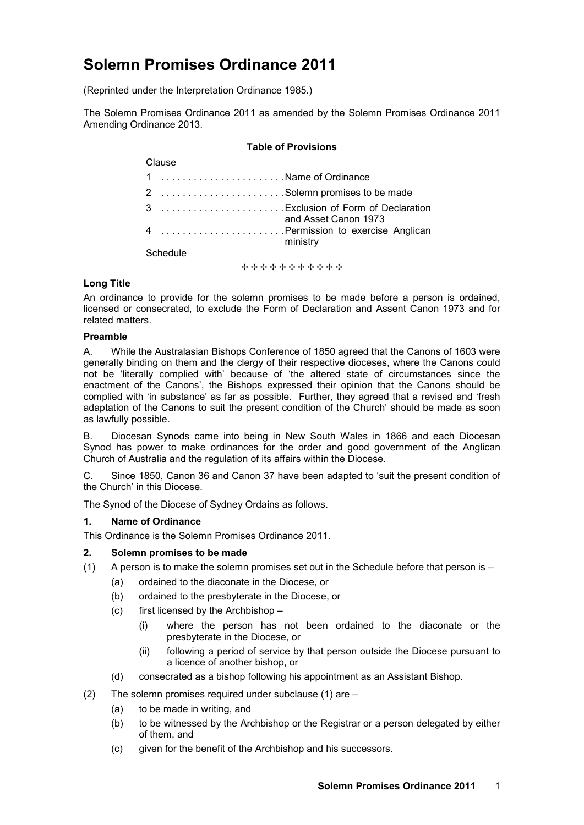# **Solemn Promises Ordinance 2011**

(Reprinted under the Interpretation Ordinance 1985.)

The Solemn Promises Ordinance 2011 as amended by the Solemn Promises Ordinance 2011 Amending Ordinance 2013.

#### **Table of Provisions**

| Clause          |                                               |
|-----------------|-----------------------------------------------|
|                 | 1 Name of Ordinance                           |
|                 | 2 Solemn promises to be made                  |
|                 | and Asset Canon 1973                          |
|                 | 4 Permission to exercise Anglican<br>ministry |
| <b>Cohodulo</b> |                                               |

Schedule

+ + + + + + + + + + +

## **Long Title**

An ordinance to provide for the solemn promises to be made before a person is ordained, licensed or consecrated, to exclude the Form of Declaration and Assent Canon 1973 and for related matters.

#### **Preamble**

A. While the Australasian Bishops Conference of 1850 agreed that the Canons of 1603 were generally binding on them and the clergy of their respective dioceses, where the Canons could not be 'literally complied with' because of 'the altered state of circumstances since the enactment of the Canons', the Bishops expressed their opinion that the Canons should be complied with 'in substance' as far as possible. Further, they agreed that a revised and 'fresh adaptation of the Canons to suit the present condition of the Church' should be made as soon as lawfully possible.

B. Diocesan Synods came into being in New South Wales in 1866 and each Diocesan Synod has power to make ordinances for the order and good government of the Anglican Church of Australia and the regulation of its affairs within the Diocese.

C. Since 1850, Canon 36 and Canon 37 have been adapted to 'suit the present condition of the Church' in this Diocese.

The Synod of the Diocese of Sydney Ordains as follows.

# **1. Name of Ordinance**

This Ordinance is the Solemn Promises Ordinance 2011.

## **2. Solemn promises to be made**

- (1) A person is to make the solemn promises set out in the Schedule before that person is
	- (a) ordained to the diaconate in the Diocese, or
	- (b) ordained to the presbyterate in the Diocese, or
	- (c) first licensed by the Archbishop
		- (i) where the person has not been ordained to the diaconate or the presbyterate in the Diocese, or
		- (ii) following a period of service by that person outside the Diocese pursuant to a licence of another bishop, or
	- (d) consecrated as a bishop following his appointment as an Assistant Bishop.
- (2) The solemn promises required under subclause (1) are
	- (a) to be made in writing, and
	- (b) to be witnessed by the Archbishop or the Registrar or a person delegated by either of them, and
	- (c) given for the benefit of the Archbishop and his successors.